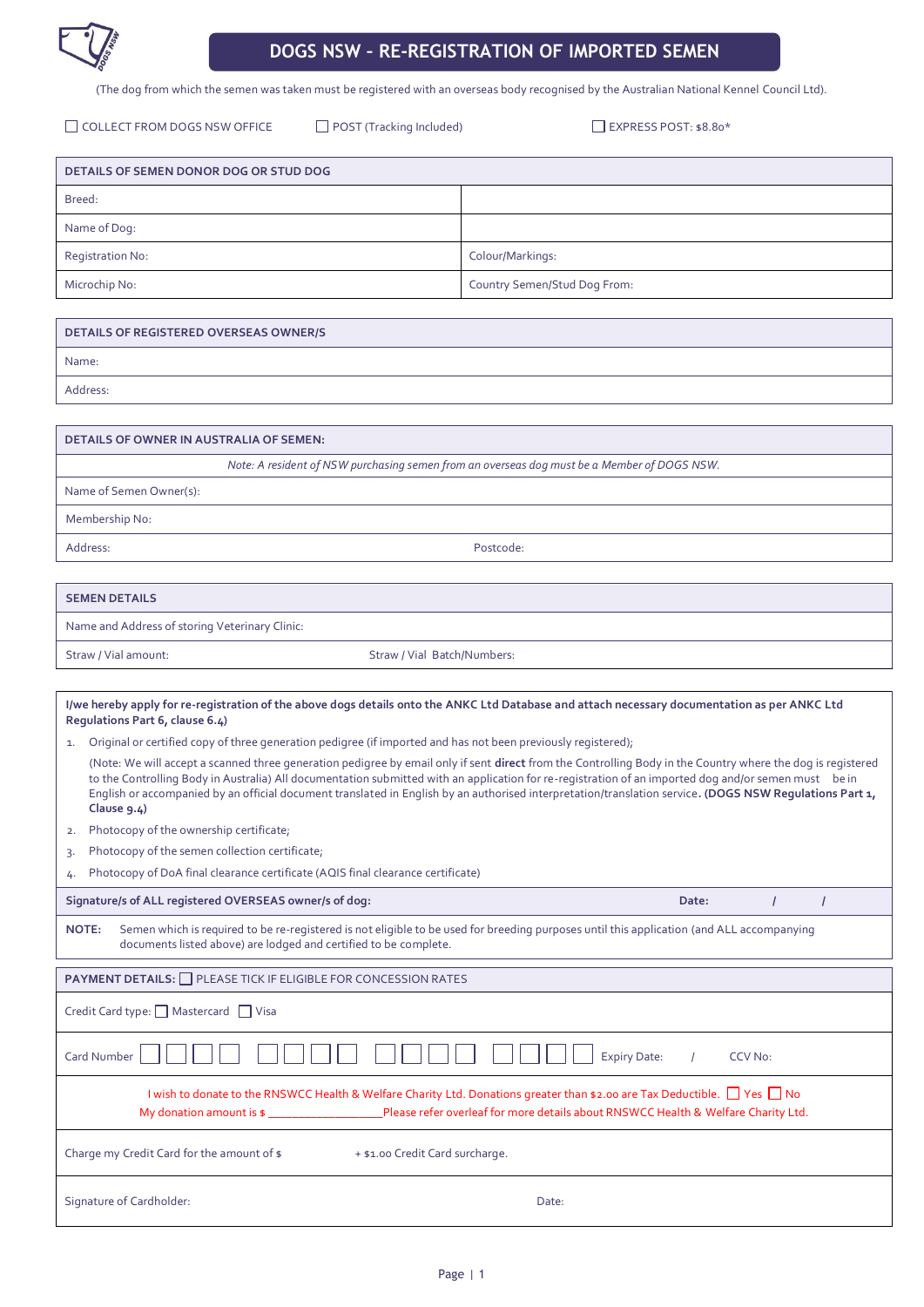

# **DOGS NSW – RE-REGISTRATION OF IMPORTED SEMEN**

(The dog from which the semen was taken must be registered with an overseas body recognised by the Australian National Kennel Council Ltd).

□ COLLECT FROM DOGS NSW OFFICE □ POST (Tracking Included) □ EXPRESS POST: \$8.80\*

| DETAILS OF SEMEN DONOR DOG OR STUD DOG |                              |  |
|----------------------------------------|------------------------------|--|
| Breed:                                 |                              |  |
| Name of Dog:                           |                              |  |
| Registration No:                       | Colour/Markings:             |  |
| Microchip No:                          | Country Semen/Stud Dog From: |  |

| DETAILS OF REGISTERED OVERSEAS OWNER/S |
|----------------------------------------|
| Name:                                  |
| Address:                               |

| <b>DETAILS OF OWNER IN AUSTRALIA OF SEMEN:</b>                                                                                                                                   |                             |  |
|----------------------------------------------------------------------------------------------------------------------------------------------------------------------------------|-----------------------------|--|
| Note: A resident of NSW purchasing semen from an overseas dog must be a Member of DOGS NSW.                                                                                      |                             |  |
| Name of Semen Owner(s):                                                                                                                                                          |                             |  |
| Membership No:                                                                                                                                                                   |                             |  |
| Address:                                                                                                                                                                         | Postcode:                   |  |
|                                                                                                                                                                                  |                             |  |
| <b>SEMEN DETAILS</b>                                                                                                                                                             |                             |  |
| Name and Address of storing Veterinary Clinic:                                                                                                                                   |                             |  |
| Straw / Vial amount:                                                                                                                                                             | Straw / Vial Batch/Numbers: |  |
|                                                                                                                                                                                  |                             |  |
| I/we hereby apply for re-registration of the above dogs details onto the ANKC Ltd Database and attach necessary documentation as per ANKC Ltd<br>Regulations Part 6, clause 6.4) |                             |  |
| Original or certified copy of three generation pedigree (if imported and has not been previously registered);<br>1.                                                              |                             |  |

| (Note: We will accept a scanned three generation pedigree by email only if sent direct from the Controlling Body in the Country where the dog is registered |
|-------------------------------------------------------------------------------------------------------------------------------------------------------------|
| to the Controlling Body in Australia) All documentation submitted with an application for re-registration of an imported dog and/or semen must be in        |
| English or accompanied by an official document translated in English by an authorised interpretation/translation service. (DOGS NSW Regulations Part 1,     |
| Clause $9.4$ )                                                                                                                                              |

2. Photocopy of the ownership certificate;

3. Photocopy of the semen collection certificate;

4. Photocopy of DoA final clearance certificate (AQIS final clearance certificate)

**Signature/s of ALL registered OVERSEAS owner/s of dog: Date: / /**

**NOTE:** Semen which is required to be re-registered is not eligible to be used for breeding purposes until this application (and ALL accompanying documents listed above) are lodged and certified to be complete.

| <b>PAYMENT DETAILS:</b> PLEASE TICK IF ELIGIBLE FOR CONCESSION RATES                                                                                                                                                                                        |  |
|-------------------------------------------------------------------------------------------------------------------------------------------------------------------------------------------------------------------------------------------------------------|--|
| Credit Card type: □ Mastercard □ Visa                                                                                                                                                                                                                       |  |
| <br>Card Number<br><b>Expiry Date:</b><br>CCV No:                                                                                                                                                                                                           |  |
| I wish to donate to the RNSWCC Health & Welfare Charity Ltd. Donations greater than \$2.00 are Tax Deductible. □ Yes □ No<br>My donation amount is \$ ____________________Please refer overleaf for more details about RNSWCC Health & Welfare Charity Ltd. |  |
| Charge my Credit Card for the amount of \$<br>+ \$1.00 Credit Card surcharge.                                                                                                                                                                               |  |
| Signature of Cardholder:<br>Date:                                                                                                                                                                                                                           |  |